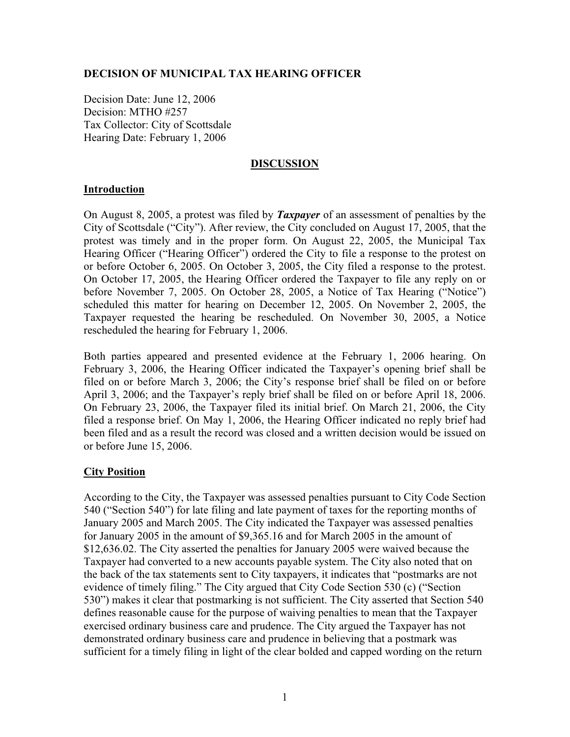## **DECISION OF MUNICIPAL TAX HEARING OFFICER**

Decision Date: June 12, 2006 Decision: MTHO #257 Tax Collector: City of Scottsdale Hearing Date: February 1, 2006

### **DISCUSSION**

### **Introduction**

On August 8, 2005, a protest was filed by *Taxpayer* of an assessment of penalties by the City of Scottsdale ("City"). After review, the City concluded on August 17, 2005, that the protest was timely and in the proper form. On August 22, 2005, the Municipal Tax Hearing Officer ("Hearing Officer") ordered the City to file a response to the protest on or before October 6, 2005. On October 3, 2005, the City filed a response to the protest. On October 17, 2005, the Hearing Officer ordered the Taxpayer to file any reply on or before November 7, 2005. On October 28, 2005, a Notice of Tax Hearing ("Notice") scheduled this matter for hearing on December 12, 2005. On November 2, 2005, the Taxpayer requested the hearing be rescheduled. On November 30, 2005, a Notice rescheduled the hearing for February 1, 2006.

Both parties appeared and presented evidence at the February 1, 2006 hearing. On February 3, 2006, the Hearing Officer indicated the Taxpayer's opening brief shall be filed on or before March 3, 2006; the City's response brief shall be filed on or before April 3, 2006; and the Taxpayer's reply brief shall be filed on or before April 18, 2006. On February 23, 2006, the Taxpayer filed its initial brief. On March 21, 2006, the City filed a response brief. On May 1, 2006, the Hearing Officer indicated no reply brief had been filed and as a result the record was closed and a written decision would be issued on or before June 15, 2006.

## **City Position**

According to the City, the Taxpayer was assessed penalties pursuant to City Code Section 540 ("Section 540") for late filing and late payment of taxes for the reporting months of January 2005 and March 2005. The City indicated the Taxpayer was assessed penalties for January 2005 in the amount of \$9,365.16 and for March 2005 in the amount of \$12,636.02. The City asserted the penalties for January 2005 were waived because the Taxpayer had converted to a new accounts payable system. The City also noted that on the back of the tax statements sent to City taxpayers, it indicates that "postmarks are not evidence of timely filing." The City argued that City Code Section 530 (c) ("Section 530") makes it clear that postmarking is not sufficient. The City asserted that Section 540 defines reasonable cause for the purpose of waiving penalties to mean that the Taxpayer exercised ordinary business care and prudence. The City argued the Taxpayer has not demonstrated ordinary business care and prudence in believing that a postmark was sufficient for a timely filing in light of the clear bolded and capped wording on the return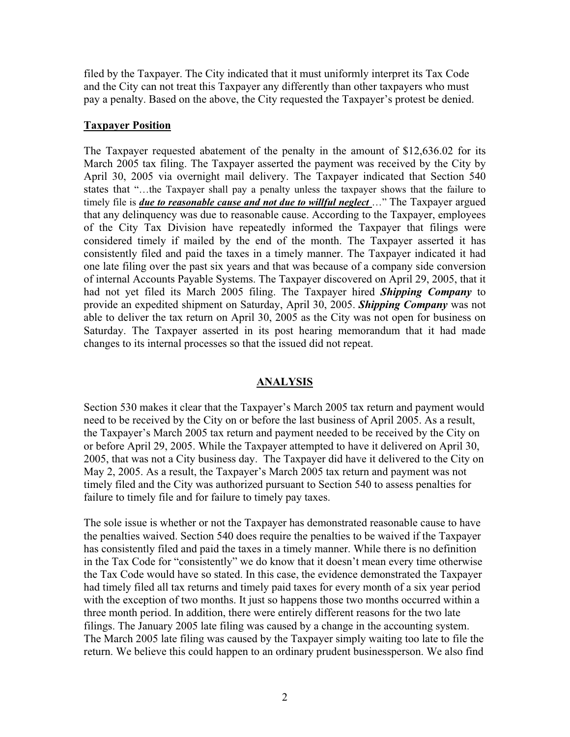filed by the Taxpayer. The City indicated that it must uniformly interpret its Tax Code and the City can not treat this Taxpayer any differently than other taxpayers who must pay a penalty. Based on the above, the City requested the Taxpayer's protest be denied.

# **Taxpayer Position**

The Taxpayer requested abatement of the penalty in the amount of \$12,636.02 for its March 2005 tax filing. The Taxpayer asserted the payment was received by the City by April 30, 2005 via overnight mail delivery. The Taxpayer indicated that Section 540 states that "…the Taxpayer shall pay a penalty unless the taxpayer shows that the failure to timely file is *due to reasonable cause and not due to willful neglect* ..." The Taxpayer argued that any delinquency was due to reasonable cause. According to the Taxpayer, employees of the City Tax Division have repeatedly informed the Taxpayer that filings were considered timely if mailed by the end of the month. The Taxpayer asserted it has consistently filed and paid the taxes in a timely manner. The Taxpayer indicated it had one late filing over the past six years and that was because of a company side conversion of internal Accounts Payable Systems. The Taxpayer discovered on April 29, 2005, that it had not yet filed its March 2005 filing. The Taxpayer hired *Shipping Company* to provide an expedited shipment on Saturday, April 30, 2005. *Shipping Company* was not able to deliver the tax return on April 30, 2005 as the City was not open for business on Saturday. The Taxpayer asserted in its post hearing memorandum that it had made changes to its internal processes so that the issued did not repeat.

## **ANALYSIS**

Section 530 makes it clear that the Taxpayer's March 2005 tax return and payment would need to be received by the City on or before the last business of April 2005. As a result, the Taxpayer's March 2005 tax return and payment needed to be received by the City on or before April 29, 2005. While the Taxpayer attempted to have it delivered on April 30, 2005, that was not a City business day. The Taxpayer did have it delivered to the City on May 2, 2005. As a result, the Taxpayer's March 2005 tax return and payment was not timely filed and the City was authorized pursuant to Section 540 to assess penalties for failure to timely file and for failure to timely pay taxes.

The sole issue is whether or not the Taxpayer has demonstrated reasonable cause to have the penalties waived. Section 540 does require the penalties to be waived if the Taxpayer has consistently filed and paid the taxes in a timely manner. While there is no definition in the Tax Code for "consistently" we do know that it doesn't mean every time otherwise the Tax Code would have so stated. In this case, the evidence demonstrated the Taxpayer had timely filed all tax returns and timely paid taxes for every month of a six year period with the exception of two months. It just so happens those two months occurred within a three month period. In addition, there were entirely different reasons for the two late filings. The January 2005 late filing was caused by a change in the accounting system. The March 2005 late filing was caused by the Taxpayer simply waiting too late to file the return. We believe this could happen to an ordinary prudent businessperson. We also find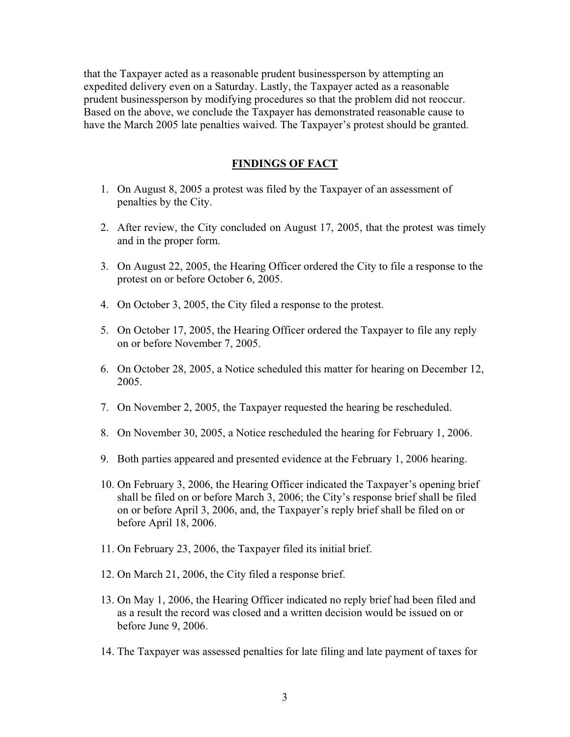that the Taxpayer acted as a reasonable prudent businessperson by attempting an expedited delivery even on a Saturday. Lastly, the Taxpayer acted as a reasonable prudent businessperson by modifying procedures so that the problem did not reoccur. Based on the above, we conclude the Taxpayer has demonstrated reasonable cause to have the March 2005 late penalties waived. The Taxpayer's protest should be granted.

### **FINDINGS OF FACT**

- 1. On August 8, 2005 a protest was filed by the Taxpayer of an assessment of penalties by the City.
- 2. After review, the City concluded on August 17, 2005, that the protest was timely and in the proper form.
- 3. On August 22, 2005, the Hearing Officer ordered the City to file a response to the protest on or before October 6, 2005.
- 4. On October 3, 2005, the City filed a response to the protest.
- 5. On October 17, 2005, the Hearing Officer ordered the Taxpayer to file any reply on or before November 7, 2005.
- 6. On October 28, 2005, a Notice scheduled this matter for hearing on December 12, 2005.
- 7. On November 2, 2005, the Taxpayer requested the hearing be rescheduled.
- 8. On November 30, 2005, a Notice rescheduled the hearing for February 1, 2006.
- 9. Both parties appeared and presented evidence at the February 1, 2006 hearing.
- 10. On February 3, 2006, the Hearing Officer indicated the Taxpayer's opening brief shall be filed on or before March 3, 2006; the City's response brief shall be filed on or before April 3, 2006, and, the Taxpayer's reply brief shall be filed on or before April 18, 2006.
- 11. On February 23, 2006, the Taxpayer filed its initial brief.
- 12. On March 21, 2006, the City filed a response brief.
- 13. On May 1, 2006, the Hearing Officer indicated no reply brief had been filed and as a result the record was closed and a written decision would be issued on or before June 9, 2006.
- 14. The Taxpayer was assessed penalties for late filing and late payment of taxes for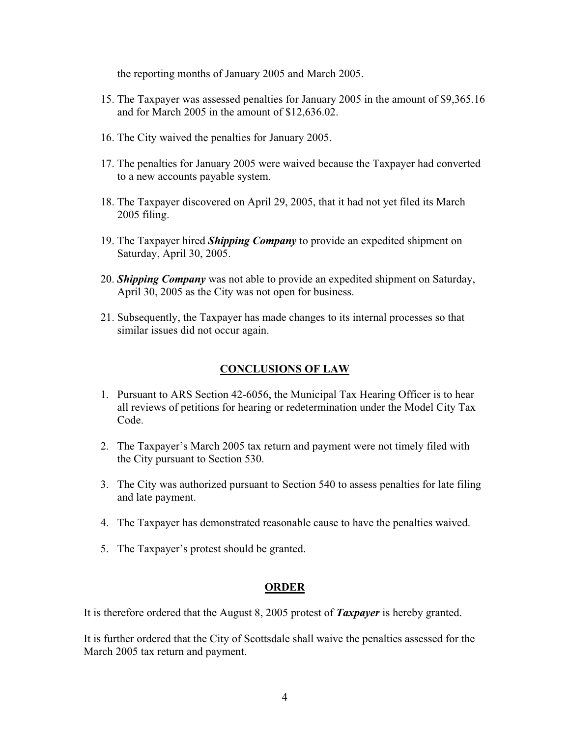the reporting months of January 2005 and March 2005.

- 15. The Taxpayer was assessed penalties for January 2005 in the amount of \$9,365.16 and for March 2005 in the amount of \$12,636.02.
- 16. The City waived the penalties for January 2005.
- 17. The penalties for January 2005 were waived because the Taxpayer had converted to a new accounts payable system.
- 18. The Taxpayer discovered on April 29, 2005, that it had not yet filed its March 2005 filing.
- 19. The Taxpayer hired *Shipping Company* to provide an expedited shipment on Saturday, April 30, 2005.
- 20. *Shipping Company* was not able to provide an expedited shipment on Saturday, April 30, 2005 as the City was not open for business.
- 21. Subsequently, the Taxpayer has made changes to its internal processes so that similar issues did not occur again.

# **CONCLUSIONS OF LAW**

- 1. Pursuant to ARS Section 42-6056, the Municipal Tax Hearing Officer is to hear all reviews of petitions for hearing or redetermination under the Model City Tax Code.
- 2. The Taxpayer's March 2005 tax return and payment were not timely filed with the City pursuant to Section 530.
- 3. The City was authorized pursuant to Section 540 to assess penalties for late filing and late payment.
- 4. The Taxpayer has demonstrated reasonable cause to have the penalties waived.
- 5. The Taxpayer's protest should be granted.

## **ORDER**

It is therefore ordered that the August 8, 2005 protest of *Taxpayer* is hereby granted.

It is further ordered that the City of Scottsdale shall waive the penalties assessed for the March 2005 tax return and payment.